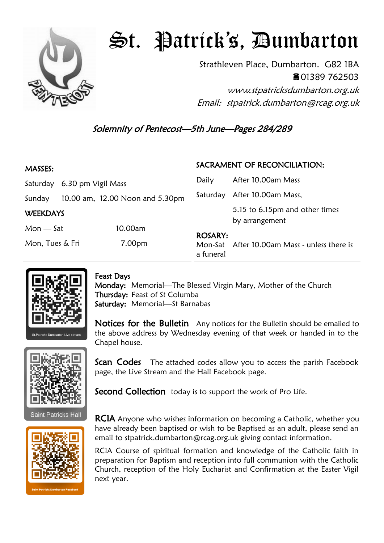

## St. Patrick's, Dumbarton

Strathleven Place, Dumbarton. G82 1BA 01389 762503 www.stpatricksdumbarton.org.uk

Email: stpatrick.dumbarton@rcag.org.uk

Solemnity of Pentecost—5th June—Pages 284/289

| <b>MASSES:</b>  |                                 |         | SACRAMENT OF RECONCILIATION: |                                                  |
|-----------------|---------------------------------|---------|------------------------------|--------------------------------------------------|
|                 | Saturday 6.30 pm Vigil Mass     |         | Daily                        | After 10.00am Mass                               |
| Sunday          | 10.00 am, 12.00 Noon and 5.30pm |         |                              | Saturday After 10.00am Mass,                     |
| <b>WEEKDAYS</b> |                                 |         |                              | 5.15 to 6.15pm and other times<br>by arrangement |
| $Mon - Sat$     |                                 | 10.00am |                              |                                                  |
| Mon, Tues & Fri |                                 | 7.00pm  | <b>ROSARY:</b><br>a funeral  | Mon-Sat After 10.00am Mass - unless there is     |



## Feast Days

Monday: Memorial—The Blessed Virgin Mary, Mother of the Church Thursday: Feast of St Columba Saturday: Memorial—St Barnabas

Notices for the Bulletin Any notices for the Bulletin should be emailed to the above address by Wednesday evening of that week or handed in to the Chapel house.



**Saint Patricks Hall** 

Scan Codes The attached codes allow you to access the parish Facebook page, the Live Stream and the Hall Facebook page.

Second Collection today is to support the work of Pro Life.

**RCIA** Anyone who wishes information on becoming a Catholic, whether you have already been baptised or wish to be Baptised as an adult, please send an email to stpatrick.dumbarton@rcag.org.uk giving contact information.

RCIA Course of spiritual formation and knowledge of the Catholic faith in preparation for Baptism and reception into full communion with the Catholic Church, reception of the Holy Eucharist and Confirmation at the Easter Vigil next year.